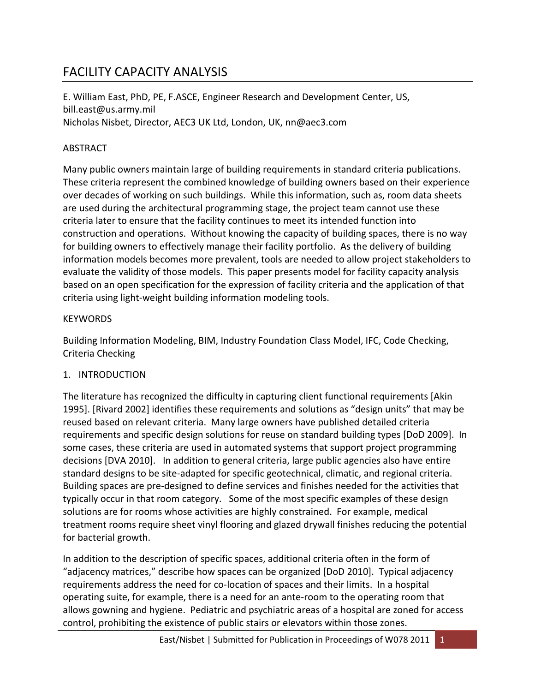# FACILITY CAPACITY ANALYSIS

E. William East, PhD, PE, F.ASCE, Engineer Research and Development Center, US, bill.east@us.army.mil Nicholas Nisbet, Director, AEC3 UK Ltd, London, UK, nn@aec3.com

## ABSTRACT

Many public owners maintain large of building requirements in standard criteria publications. These criteria represent the combined knowledge of building owners based on their experience over decades of working on such buildings. While this information, such as, room data sheets are used during the architectural programming stage, the project team cannot use these criteria later to ensure that the facility continues to meet its intended function into construction and operations. Without knowing the capacity of building spaces, there is no way for building owners to effectively manage their facility portfolio. As the delivery of building information models becomes more prevalent, tools are needed to allow project stakeholders to evaluate the validity of those models. This paper presents model for facility capacity analysis based on an open specification for the expression of facility criteria and the application of that criteria using light-weight building information modeling tools.

## **KFYWORDS**

Building Information Modeling, BIM, Industry Foundation Class Model, IFC, Code Checking, Criteria Checking

# 1. INTRODUCTION

The literature has recognized the difficulty in capturing client functional requirements [Akin 1995]. [Rivard 2002] identifies these requirements and solutions as "design units" that may be reused based on relevant criteria. Many large owners have published detailed criteria requirements and specific design solutions for reuse on standard building types [DoD 2009]. In some cases, these criteria are used in automated systems that support project programming decisions [DVA 2010]. In addition to general criteria, large public agencies also have entire standard designs to be site-adapted for specific geotechnical, climatic, and regional criteria. Building spaces are pre-designed to define services and finishes needed for the activities that typically occur in that room category. Some of the most specific examples of these design solutions are for rooms whose activities are highly constrained. For example, medical treatment rooms require sheet vinyl flooring and glazed drywall finishes reducing the potential for bacterial growth.

In addition to the description of specific spaces, additional criteria often in the form of "adjacency matrices," describe how spaces can be organized [DoD 2010]. Typical adjacency requirements address the need for co-location of spaces and their limits. In a hospital operating suite, for example, there is a need for an ante-room to the operating room that allows gowning and hygiene. Pediatric and psychiatric areas of a hospital are zoned for access control, prohibiting the existence of public stairs or elevators within those zones.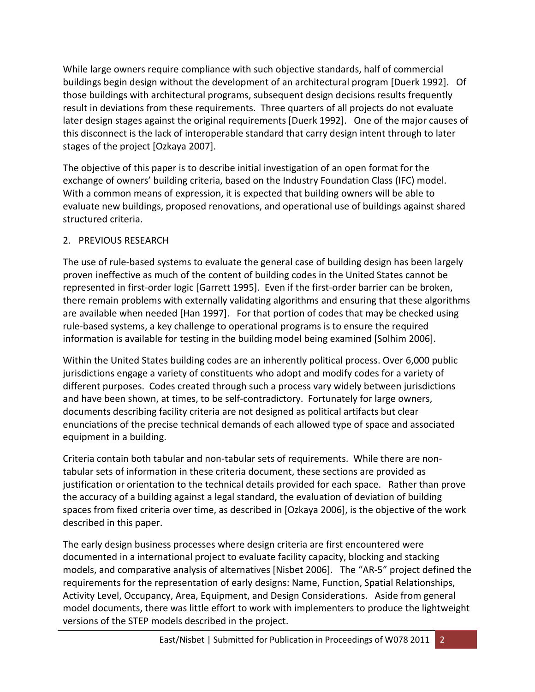While large owners require compliance with such objective standards, half of commercial buildings begin design without the development of an architectural program [Duerk 1992]. Of those buildings with architectural programs, subsequent design decisions results frequently result in deviations from these requirements. Three quarters of all projects do not evaluate later design stages against the original requirements [Duerk 1992]. One of the major causes of this disconnect is the lack of interoperable standard that carry design intent through to later stages of the project [Ozkaya 2007].

The objective of this paper is to describe initial investigation of an open format for the exchange of owners' building criteria, based on the Industry Foundation Class (IFC) model. With a common means of expression, it is expected that building owners will be able to evaluate new buildings, proposed renovations, and operational use of buildings against shared structured criteria.

## 2. PREVIOUS RESEARCH

The use of rule-based systems to evaluate the general case of building design has been largely proven ineffective as much of the content of building codes in the United States cannot be represented in first-order logic [Garrett 1995]. Even if the first-order barrier can be broken, there remain problems with externally validating algorithms and ensuring that these algorithms are available when needed [Han 1997]. For that portion of codes that may be checked using rule-based systems, a key challenge to operational programs is to ensure the required information is available for testing in the building model being examined [Solhim 2006].

Within the United States building codes are an inherently political process. Over 6,000 public jurisdictions engage a variety of constituents who adopt and modify codes for a variety of different purposes. Codes created through such a process vary widely between jurisdictions and have been shown, at times, to be self-contradictory. Fortunately for large owners, documents describing facility criteria are not designed as political artifacts but clear enunciations of the precise technical demands of each allowed type of space and associated equipment in a building.

Criteria contain both tabular and non-tabular sets of requirements. While there are nontabular sets of information in these criteria document, these sections are provided as justification or orientation to the technical details provided for each space. Rather than prove the accuracy of a building against a legal standard, the evaluation of deviation of building spaces from fixed criteria over time, as described in [Ozkaya 2006], is the objective of the work described in this paper.

The early design business processes where design criteria are first encountered were documented in a international project to evaluate facility capacity, blocking and stacking models, and comparative analysis of alternatives [Nisbet 2006]. The "AR-5" project defined the requirements for the representation of early designs: Name, Function, Spatial Relationships, Activity Level, Occupancy, Area, Equipment, and Design Considerations. Aside from general model documents, there was little effort to work with implementers to produce the lightweight versions of the STEP models described in the project.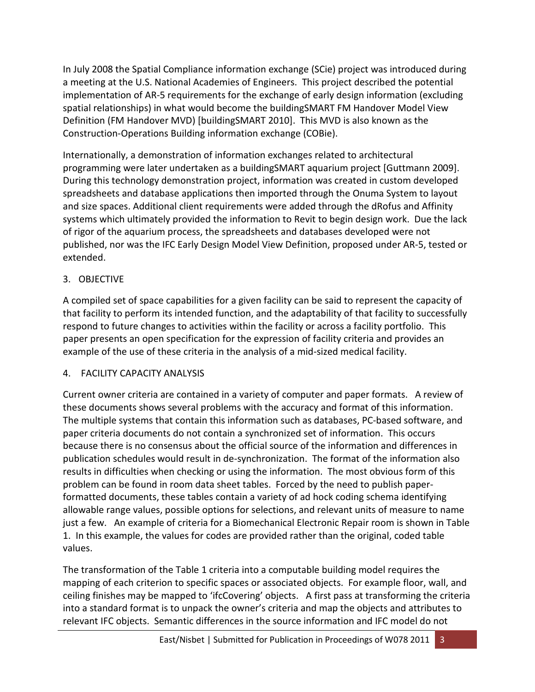In July 2008 the Spatial Compliance information exchange (SCie) project was introduced during a meeting at the U.S. National Academies of Engineers. This project described the potential implementation of AR-5 requirements for the exchange of early design information (excluding spatial relationships) in what would become the buildingSMART FM Handover Model View Definition (FM Handover MVD) [buildingSMART 2010]. This MVD is also known as the Construction-Operations Building information exchange (COBie).

Internationally, a demonstration of information exchanges related to architectural programming were later undertaken as a buildingSMART aquarium project [Guttmann 2009]. During this technology demonstration project, information was created in custom developed spreadsheets and database applications then imported through the Onuma System to layout and size spaces. Additional client requirements were added through the dRofus and Affinity systems which ultimately provided the information to Revit to begin design work. Due the lack of rigor of the aquarium process, the spreadsheets and databases developed were not published, nor was the IFC Early Design Model View Definition, proposed under AR-5, tested or extended.

## 3. OBJECTIVE

A compiled set of space capabilities for a given facility can be said to represent the capacity of that facility to perform its intended function, and the adaptability of that facility to successfully respond to future changes to activities within the facility or across a facility portfolio. This paper presents an open specification for the expression of facility criteria and provides an example of the use of these criteria in the analysis of a mid-sized medical facility.

## 4. FACILITY CAPACITY ANALYSIS

Current owner criteria are contained in a variety of computer and paper formats. A review of these documents shows several problems with the accuracy and format of this information. The multiple systems that contain this information such as databases, PC-based software, and paper criteria documents do not contain a synchronized set of information. This occurs because there is no consensus about the official source of the information and differences in publication schedules would result in de-synchronization. The format of the information also results in difficulties when checking or using the information. The most obvious form of this problem can be found in room data sheet tables. Forced by the need to publish paperformatted documents, these tables contain a variety of ad hock coding schema identifying allowable range values, possible options for selections, and relevant units of measure to name just a few. An example of criteria for a Biomechanical Electronic Repair room is shown in Table 1. In this example, the values for codes are provided rather than the original, coded table values.

The transformation of the Table 1 criteria into a computable building model requires the mapping of each criterion to specific spaces or associated objects. For example floor, wall, and ceiling finishes may be mapped to 'ifcCovering' objects. A first pass at transforming the criteria into a standard format is to unpack the owner's criteria and map the objects and attributes to relevant IFC objects. Semantic differences in the source information and IFC model do not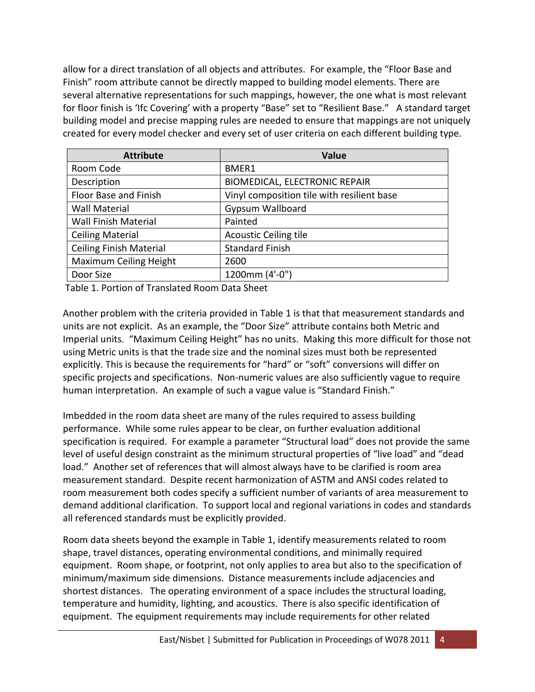allow for a direct translation of all objects and attributes. For example, the "Floor Base and Finish" room attribute cannot be directly mapped to building model elements. There are several alternative representations for such mappings, however, the one what is most relevant for floor finish is 'Ifc Covering' with a property "Base" set to "Resilient Base." A standard target building model and precise mapping rules are needed to ensure that mappings are not uniquely created for every model checker and every set of user criteria on each different building type.

| <b>Attribute</b>               | <b>Value</b>                               |
|--------------------------------|--------------------------------------------|
| Room Code                      | BMER1                                      |
| Description                    | <b>BIOMEDICAL, ELECTRONIC REPAIR</b>       |
| Floor Base and Finish          | Vinyl composition tile with resilient base |
| <b>Wall Material</b>           | <b>Gypsum Wallboard</b>                    |
| <b>Wall Finish Material</b>    | Painted                                    |
| <b>Ceiling Material</b>        | <b>Acoustic Ceiling tile</b>               |
| <b>Ceiling Finish Material</b> | <b>Standard Finish</b>                     |
| Maximum Ceiling Height         | 2600                                       |
| Door Size                      | 1200mm (4'-0")                             |

Table 1. Portion of Translated Room Data Sheet

Another problem with the criteria provided in Table 1 is that that measurement standards and units are not explicit. As an example, the "Door Size" attribute contains both Metric and Imperial units. "Maximum Ceiling Height" has no units. Making this more difficult for those not using Metric units is that the trade size and the nominal sizes must both be represented explicitly. This is because the requirements for "hard" or "soft" conversions will differ on specific projects and specifications. Non-numeric values are also sufficiently vague to require human interpretation. An example of such a vague value is "Standard Finish."

Imbedded in the room data sheet are many of the rules required to assess building performance. While some rules appear to be clear, on further evaluation additional specification is required. For example a parameter "Structural load" does not provide the same level of useful design constraint as the minimum structural properties of "live load" and "dead load." Another set of references that will almost always have to be clarified is room area measurement standard. Despite recent harmonization of ASTM and ANSI codes related to room measurement both codes specify a sufficient number of variants of area measurement to demand additional clarification. To support local and regional variations in codes and standards all referenced standards must be explicitly provided.

Room data sheets beyond the example in Table 1, identify measurements related to room shape, travel distances, operating environmental conditions, and minimally required equipment. Room shape, or footprint, not only applies to area but also to the specification of minimum/maximum side dimensions. Distance measurements include adjacencies and shortest distances. The operating environment of a space includes the structural loading, temperature and humidity, lighting, and acoustics. There is also specific identification of equipment. The equipment requirements may include requirements for other related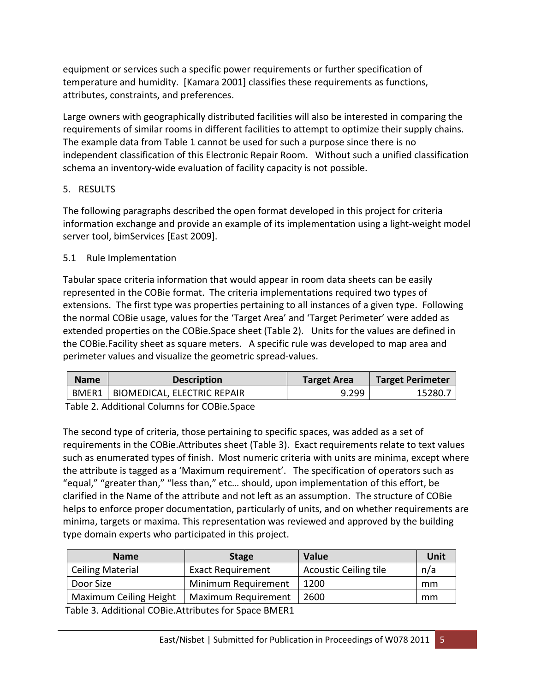equipment or services such a specific power requirements or further specification of temperature and humidity. [Kamara 2001] classifies these requirements as functions, attributes, constraints, and preferences.

Large owners with geographically distributed facilities will also be interested in comparing the requirements of similar rooms in different facilities to attempt to optimize their supply chains. The example data from Table 1 cannot be used for such a purpose since there is no independent classification of this Electronic Repair Room. Without such a unified classification schema an inventory-wide evaluation of facility capacity is not possible.

#### 5. RESULTS

The following paragraphs described the open format developed in this project for criteria information exchange and provide an example of its implementation using a light-weight model server tool, bimServices [East 2009].

#### 5.1 Rule Implementation

Tabular space criteria information that would appear in room data sheets can be easily represented in the COBie format. The criteria implementations required two types of extensions. The first type was properties pertaining to all instances of a given type. Following the normal COBie usage, values for the 'Target Area' and 'Target Perimeter' were added as extended properties on the COBie.Space sheet (Table 2). Units for the values are defined in the COBie.Facility sheet as square meters. A specific rule was developed to map area and perimeter values and visualize the geometric spread-values.

| <b>Name</b><br><b>Description</b>   | <b>Target Area</b> | <b>Target Perimeter</b> |
|-------------------------------------|--------------------|-------------------------|
| BMER1   BIOMEDICAL, ELECTRIC REPAIR | 9.299              | 15280.                  |

Table 2. Additional Columns for COBie.Space

The second type of criteria, those pertaining to specific spaces, was added as a set of requirements in the COBie.Attributes sheet (Table 3). Exact requirements relate to text values such as enumerated types of finish. Most numeric criteria with units are minima, except where the attribute is tagged as a 'Maximum requirement'. The specification of operators such as "equal," "greater than," "less than," etc… should, upon implementation of this effort, be clarified in the Name of the attribute and not left as an assumption. The structure of COBie helps to enforce proper documentation, particularly of units, and on whether requirements are minima, targets or maxima. This representation was reviewed and approved by the building type domain experts who participated in this project.

| <b>Stage</b>             | Value                        | Unit |
|--------------------------|------------------------------|------|
| <b>Exact Requirement</b> | <b>Acoustic Ceiling tile</b> | n/a  |
| Minimum Requirement      | 1200                         | mm   |
| Maximum Requirement      | 2600                         | mm   |
|                          |                              |      |

Table 3. Additional COBie.Attributes for Space BMER1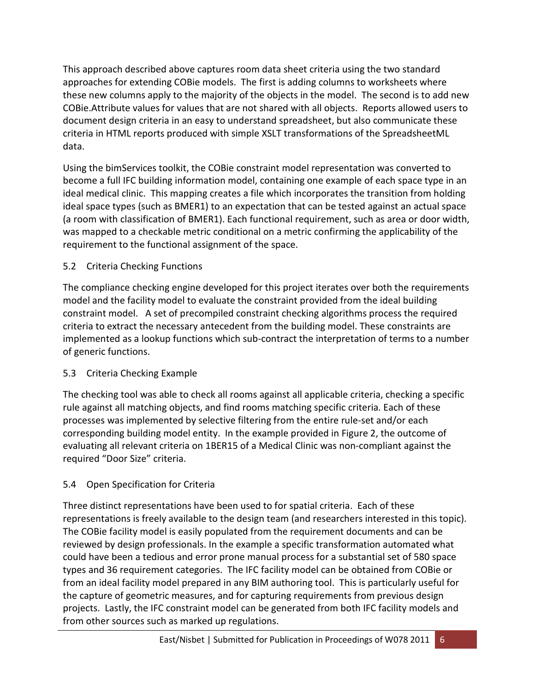This approach described above captures room data sheet criteria using the two standard approaches for extending COBie models. The first is adding columns to worksheets where these new columns apply to the majority of the objects in the model. The second is to add new COBie.Attribute values for values that are not shared with all objects. Reports allowed users to document design criteria in an easy to understand spreadsheet, but also communicate these criteria in HTML reports produced with simple XSLT transformations of the SpreadsheetML data.

Using the bimServices toolkit, the COBie constraint model representation was converted to become a full IFC building information model, containing one example of each space type in an ideal medical clinic. This mapping creates a file which incorporates the transition from holding ideal space types (such as BMER1) to an expectation that can be tested against an actual space (a room with classification of BMER1). Each functional requirement, such as area or door width, was mapped to a checkable metric conditional on a metric confirming the applicability of the requirement to the functional assignment of the space.

# 5.2 Criteria Checking Functions

The compliance checking engine developed for this project iterates over both the requirements model and the facility model to evaluate the constraint provided from the ideal building constraint model. A set of precompiled constraint checking algorithms process the required criteria to extract the necessary antecedent from the building model. These constraints are implemented as a lookup functions which sub-contract the interpretation of terms to a number of generic functions.

# 5.3 Criteria Checking Example

The checking tool was able to check all rooms against all applicable criteria, checking a specific rule against all matching objects, and find rooms matching specific criteria. Each of these processes was implemented by selective filtering from the entire rule-set and/or each corresponding building model entity. In the example provided in Figure 2, the outcome of evaluating all relevant criteria on 1BER15 of a Medical Clinic was non-compliant against the required "Door Size" criteria.

# 5.4 Open Specification for Criteria

Three distinct representations have been used to for spatial criteria. Each of these representations is freely available to the design team (and researchers interested in this topic). The COBie facility model is easily populated from the requirement documents and can be reviewed by design professionals. In the example a specific transformation automated what could have been a tedious and error prone manual process for a substantial set of 580 space types and 36 requirement categories. The IFC facility model can be obtained from COBie or from an ideal facility model prepared in any BIM authoring tool. This is particularly useful for the capture of geometric measures, and for capturing requirements from previous design projects. Lastly, the IFC constraint model can be generated from both IFC facility models and from other sources such as marked up regulations.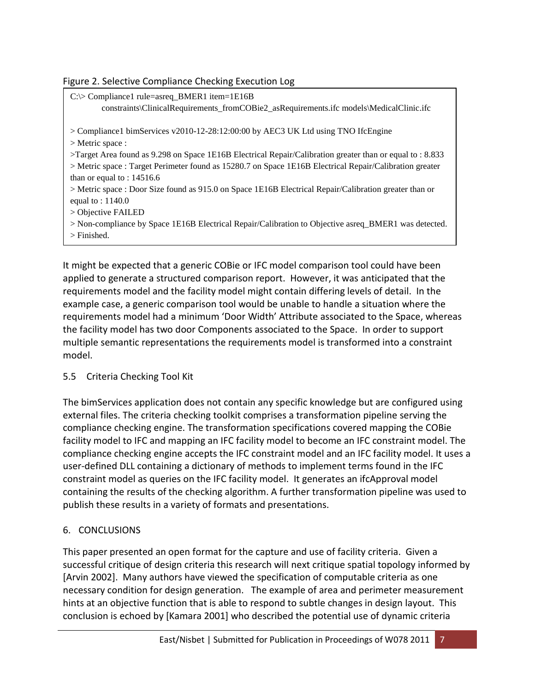## Figure 2. Selective Compliance Checking Execution Log

| $C:\triangleright$ Compliance 1 rule=asreq_BMER1 item=1E16B<br>constraints\ClinicalRequirements_fromCOBie2_asRequirements.ifc models\MedicalClinic.ifc |
|--------------------------------------------------------------------------------------------------------------------------------------------------------|
| $>$ Compliance 1 bimServices v2010-12-28:12:00:00 by AEC3 UK Ltd using TNO IfcEngine                                                                   |
| $>$ Metric space :                                                                                                                                     |
| >Target Area found as 9.298 on Space 1E16B Electrical Repair/Calibration greater than or equal to : 8.833                                              |
| > Metric space : Target Perimeter found as 15280.7 on Space 1E16B Electrical Repair/Calibration greater                                                |
| than or equal to : $14516.6$                                                                                                                           |
| $>$ Metric space : Door Size found as 915.0 on Space 1E16B Electrical Repair/Calibration greater than or                                               |
| equal to : $1140.0$                                                                                                                                    |
| $>$ Objective FAILED                                                                                                                                   |
| > Non-compliance by Space 1E16B Electrical Repair/Calibration to Objective asreq_BMER1 was detected.                                                   |
| $>$ Finished.                                                                                                                                          |
|                                                                                                                                                        |

It might be expected that a generic COBie or IFC model comparison tool could have been applied to generate a structured comparison report. However, it was anticipated that the requirements model and the facility model might contain differing levels of detail. In the example case, a generic comparison tool would be unable to handle a situation where the requirements model had a minimum 'Door Width' Attribute associated to the Space, whereas the facility model has two door Components associated to the Space. In order to support multiple semantic representations the requirements model is transformed into a constraint model.

## 5.5 Criteria Checking Tool Kit

The bimServices application does not contain any specific knowledge but are configured using external files. The criteria checking toolkit comprises a transformation pipeline serving the compliance checking engine. The transformation specifications covered mapping the COBie facility model to IFC and mapping an IFC facility model to become an IFC constraint model. The compliance checking engine accepts the IFC constraint model and an IFC facility model. It uses a user-defined DLL containing a dictionary of methods to implement terms found in the IFC constraint model as queries on the IFC facility model. It generates an ifcApproval model containing the results of the checking algorithm. A further transformation pipeline was used to publish these results in a variety of formats and presentations.

## 6. CONCLUSIONS

This paper presented an open format for the capture and use of facility criteria. Given a successful critique of design criteria this research will next critique spatial topology informed by [Arvin 2002]. Many authors have viewed the specification of computable criteria as one necessary condition for design generation. The example of area and perimeter measurement hints at an objective function that is able to respond to subtle changes in design layout. This conclusion is echoed by [Kamara 2001] who described the potential use of dynamic criteria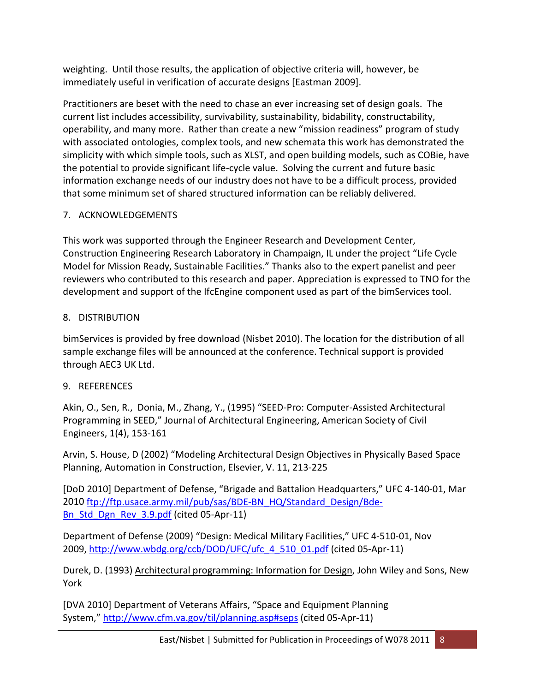weighting. Until those results, the application of objective criteria will, however, be immediately useful in verification of accurate designs [Eastman 2009].

Practitioners are beset with the need to chase an ever increasing set of design goals. The current list includes accessibility, survivability, sustainability, bidability, constructability, operability, and many more. Rather than create a new "mission readiness" program of study with associated ontologies, complex tools, and new schemata this work has demonstrated the simplicity with which simple tools, such as XLST, and open building models, such as COBie, have the potential to provide significant life-cycle value. Solving the current and future basic information exchange needs of our industry does not have to be a difficult process, provided that some minimum set of shared structured information can be reliably delivered.

# 7. ACKNOWLEDGEMENTS

This work was supported through the Engineer Research and Development Center, Construction Engineering Research Laboratory in Champaign, IL under the project "Life Cycle Model for Mission Ready, Sustainable Facilities." Thanks also to the expert panelist and peer reviewers who contributed to this research and paper. Appreciation is expressed to TNO for the development and support of the IfcEngine component used as part of the bimServices tool.

# 8. DISTRIBUTION

bimServices is provided by free download (Nisbet 2010). The location for the distribution of all sample exchange files will be announced at the conference. Technical support is provided through AEC3 UK Ltd.

# 9. REFERENCES

Akin, O., Sen, R., [Donia,](http://ascelibrary.aip.org/vsearch/servlet/VerityServlet?KEY=ASCERL&possible1=Donia%2C+Magd&possible1zone=author&maxdisp=25&smode=strresults&aqs=true) M., [Zhang,](http://ascelibrary.aip.org/vsearch/servlet/VerityServlet?KEY=ASCERL&possible1=Zhang%2C+Ye&possible1zone=author&maxdisp=25&smode=strresults&aqs=true) Y., (1995) "SEED-Pro: Computer-Assisted Architectural Programming in SEED," Journal of Architectural Engineering, American Society of Civil Engineers, 1(4), 153-161

Arvin, S. House, D (2002) "Modeling Architectural Design Objectives in Physically Based Space Planning, Automation in Construction, Elsevier, V. 11, 213-225

[DoD 2010] Department of Defense, "Brigade and Battalion Headquarters," UFC 4-140-01, Mar 2010 [ftp://ftp.usace.army.mil/pub/sas/BDE-BN\\_HQ/Standard\\_Design/Bde-](ftp://ftp.usace.army.mil/pub/sas/BDE-BN_HQ/Standard_Design/Bde-Bn_Std_Dgn_Rev_3.9.pdf)Bn Std Dgn Rev 3.9.pdf (cited 05-Apr-11)

Department of Defense (2009) "Design: Medical Military Facilities," UFC 4-510-01, Nov 2009, [http://www.wbdg.org/ccb/DOD/UFC/ufc\\_4\\_510\\_01.pdf](http://www.wbdg.org/ccb/DOD/UFC/ufc_4_510_01.pdf) (cited 05-Apr-11)

Durek, D. (1993) Architectural programming: Information for Design, John Wiley and Sons, New York

[DVA 2010] Department of Veterans Affairs, "Space and Equipment Planning System,"<http://www.cfm.va.gov/til/planning.asp#seps> (cited 05-Apr-11)